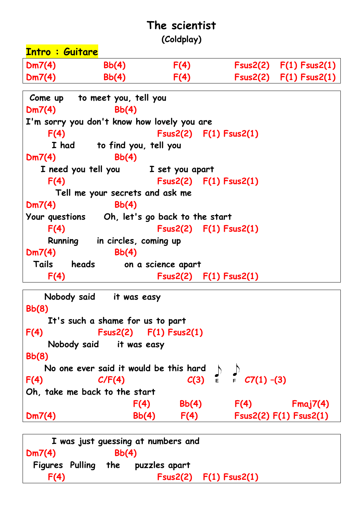## **The scientist (Coldplay)**

**Intro : Guitare Dm7(4) Bb(4) F(4) Fsus2(2) F(1) Fsus2(1) Dm7(4) Bb(4) F(4) Fsus2(2) F(1) Fsus2(1) Come up to meet you, tell you Dm7(4) Bb(4) I'm sorry you don't know how lovely you are F(4) Fsus2(2) F(1) Fsus2(1) I had to find you, tell you Dm7(4) Bb(4) I need you tell you I set you apart F(4) Fsus2(2) F(1) Fsus2(1) Tell me your secrets and ask me Dm7(4) Bb(4) Your questions Oh, let's go back to the start F(4) Fsus2(2) F(1) Fsus2(1) Running in circles, coming up Dm7(4) Bb(4) Tails heads on a science apart F(4) Fsus2(2) F(1) Fsus2(1)**

```
 Nobody said it was easy
Bb(8) 
    It's such a shame for us to part
F(4) Fsus2(2) F(1) Fsus2(1)
    Nobody said it was easy
Bb(8) 
    No one ever said it would be this hard
F(4) C/F(4) C(3) \in C7(1) -(3)
Oh, take me back to the start
                   F(4) Bb(4) F(4) Fmaj7(4)
Dm7(4) Bb(4) F(4) Fsus2(2) F(1) Fsus2(1)
```

|                        |       | I was just guessing at numbers and |                            |  |
|------------------------|-------|------------------------------------|----------------------------|--|
| Dm7(4)                 | Bb(4) |                                    |                            |  |
| <b>Figures</b> Pulling |       | the puzzles apart                  |                            |  |
| F(4)                   |       |                                    | $Fsus2(2)$ $F(1) Fsus2(1)$ |  |